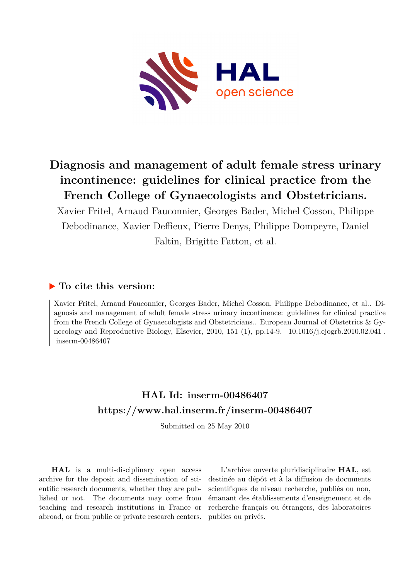

# **Diagnosis and management of adult female stress urinary incontinence: guidelines for clinical practice from the French College of Gynaecologists and Obstetricians.**

Xavier Fritel, Arnaud Fauconnier, Georges Bader, Michel Cosson, Philippe Debodinance, Xavier Deffieux, Pierre Denys, Philippe Dompeyre, Daniel Faltin, Brigitte Fatton, et al.

## **To cite this version:**

Xavier Fritel, Arnaud Fauconnier, Georges Bader, Michel Cosson, Philippe Debodinance, et al.. Diagnosis and management of adult female stress urinary incontinence: guidelines for clinical practice from the French College of Gynaecologists and Obstetricians.. European Journal of Obstetrics & Gynecology and Reproductive Biology, Elsevier, 2010, 151 (1), pp.14-9.  $10.1016/j.ejogrb.2010.02.041$ .  $inserm-00486407$ 

# **HAL Id: inserm-00486407 <https://www.hal.inserm.fr/inserm-00486407>**

Submitted on 25 May 2010

**HAL** is a multi-disciplinary open access archive for the deposit and dissemination of scientific research documents, whether they are published or not. The documents may come from teaching and research institutions in France or abroad, or from public or private research centers.

L'archive ouverte pluridisciplinaire **HAL**, est destinée au dépôt et à la diffusion de documents scientifiques de niveau recherche, publiés ou non, émanant des établissements d'enseignement et de recherche français ou étrangers, des laboratoires publics ou privés.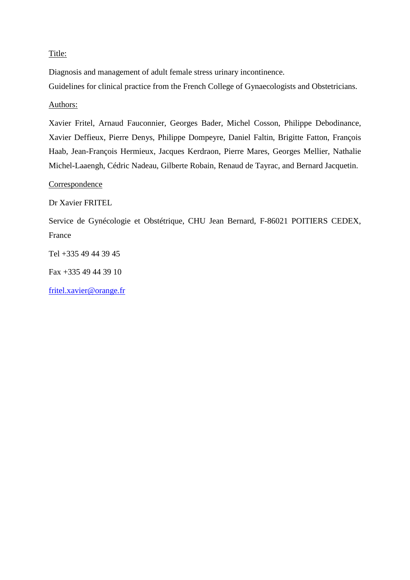## Title:

Diagnosis and management of adult female stress urinary incontinence.

Guidelines for clinical practice from the French College of Gynaecologists and Obstetricians.

## Authors:

Xavier Fritel, Arnaud Fauconnier, Georges Bader, Michel Cosson, Philippe Debodinance, Xavier Deffieux, Pierre Denys, Philippe Dompeyre, Daniel Faltin, Brigitte Fatton, François Haab, Jean-François Hermieux, Jacques Kerdraon, Pierre Mares, Georges Mellier, Nathalie Michel-Laaengh, Cédric Nadeau, Gilberte Robain, Renaud de Tayrac, and Bernard Jacquetin.

## Correspondence

Dr Xavier FRITEL

Service de Gynécologie et Obstétrique, CHU Jean Bernard, F-86021 POITIERS CEDEX, France

Tel +335 49 44 39 45

Fax +335 49 44 39 10

[fritel.xavier@orange.fr](mailto:fritel.xavier@orange.fr)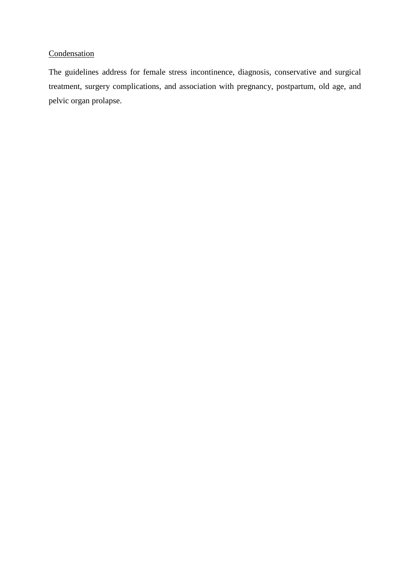## **Condensation**

The guidelines address for female stress incontinence, diagnosis, conservative and surgical treatment, surgery complications, and association with pregnancy, postpartum, old age, and pelvic organ prolapse.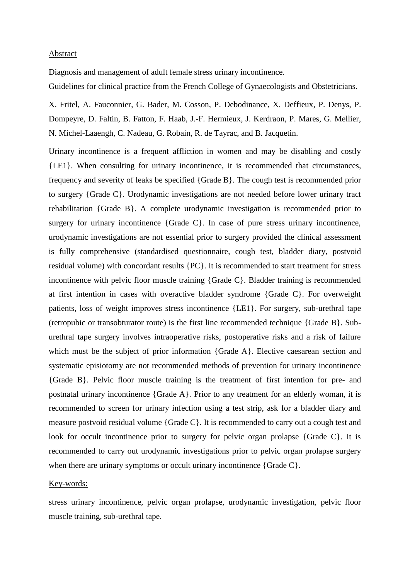#### Abstract

Diagnosis and management of adult female stress urinary incontinence.

Guidelines for clinical practice from the French College of Gynaecologists and Obstetricians.

X. Fritel, A. Fauconnier, G. Bader, M. Cosson, P. Debodinance, X. Deffieux, P. Denys, P. Dompeyre, D. Faltin, B. Fatton, F. Haab, J.-F. Hermieux, J. Kerdraon, P. Mares, G. Mellier, N. Michel-Laaengh, C. Nadeau, G. Robain, R. de Tayrac, and B. Jacquetin.

Urinary incontinence is a frequent affliction in women and may be disabling and costly {LE1}. When consulting for urinary incontinence, it is recommended that circumstances, frequency and severity of leaks be specified {Grade B}. The cough test is recommended prior to surgery {Grade C}. Urodynamic investigations are not needed before lower urinary tract rehabilitation {Grade B}. A complete urodynamic investigation is recommended prior to surgery for urinary incontinence {Grade C}. In case of pure stress urinary incontinence, urodynamic investigations are not essential prior to surgery provided the clinical assessment is fully comprehensive (standardised questionnaire, cough test, bladder diary, postvoid residual volume) with concordant results {PC}. It is recommended to start treatment for stress incontinence with pelvic floor muscle training {Grade C}. Bladder training is recommended at first intention in cases with overactive bladder syndrome {Grade C}. For overweight patients, loss of weight improves stress incontinence {LE1}. For surgery, sub-urethral tape (retropubic or transobturator route) is the first line recommended technique {Grade B}. Suburethral tape surgery involves intraoperative risks, postoperative risks and a risk of failure which must be the subject of prior information {Grade A}. Elective caesarean section and systematic episiotomy are not recommended methods of prevention for urinary incontinence {Grade B}. Pelvic floor muscle training is the treatment of first intention for pre- and postnatal urinary incontinence {Grade A}. Prior to any treatment for an elderly woman, it is recommended to screen for urinary infection using a test strip, ask for a bladder diary and measure postvoid residual volume {Grade C}. It is recommended to carry out a cough test and look for occult incontinence prior to surgery for pelvic organ prolapse {Grade C}. It is recommended to carry out urodynamic investigations prior to pelvic organ prolapse surgery when there are urinary symptoms or occult urinary incontinence {Grade C}.

#### Key-words:

stress urinary incontinence, pelvic organ prolapse, urodynamic investigation, pelvic floor muscle training, sub-urethral tape.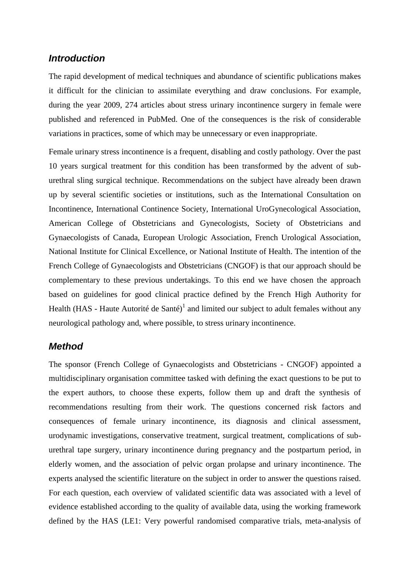## *Introduction*

The rapid development of medical techniques and abundance of scientific publications makes it difficult for the clinician to assimilate everything and draw conclusions. For example, during the year 2009, 274 articles about stress urinary incontinence surgery in female were published and referenced in PubMed. One of the consequences is the risk of considerable variations in practices, some of which may be unnecessary or even inappropriate.

Female urinary stress incontinence is a frequent, disabling and costly pathology. Over the past 10 years surgical treatment for this condition has been transformed by the advent of suburethral sling surgical technique. Recommendations on the subject have already been drawn up by several scientific societies or institutions, such as the International Consultation on Incontinence, International Continence Society, International UroGynecological Association, American College of Obstetricians and Gynecologists, Society of Obstetricians and Gynaecologists of Canada, European Urologic Association, French Urological Association, National Institute for Clinical Excellence, or National Institute of Health. The intention of the French College of Gynaecologists and Obstetricians (CNGOF) is that our approach should be complementary to these previous undertakings. To this end we have chosen the approach based on guidelines for good clinical practice defined by the French High Authority for Health (HAS - Haute Autorité de Santé)<sup>1</sup> and limited our subject to adult females without any neurological pathology and, where possible, to stress urinary incontinence.

## *Method*

The sponsor (French College of Gynaecologists and Obstetricians - CNGOF) appointed a multidisciplinary organisation committee tasked with defining the exact questions to be put to the expert authors, to choose these experts, follow them up and draft the synthesis of recommendations resulting from their work. The questions concerned risk factors and consequences of female urinary incontinence, its diagnosis and clinical assessment, urodynamic investigations, conservative treatment, surgical treatment, complications of suburethral tape surgery, urinary incontinence during pregnancy and the postpartum period, in elderly women, and the association of pelvic organ prolapse and urinary incontinence. The experts analysed the scientific literature on the subject in order to answer the questions raised. For each question, each overview of validated scientific data was associated with a level of evidence established according to the quality of available data, using the working framework defined by the HAS (LE1: Very powerful randomised comparative trials, meta-analysis of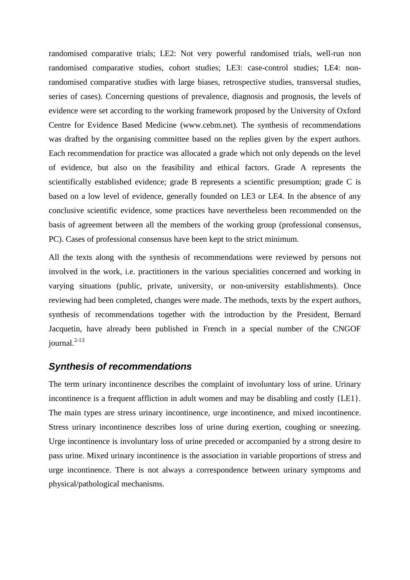randomised comparative trials; LE2: Not very powerful randomised trials, well-run non randomised comparative studies, cohort studies; LE3: case-control studies; LE4: nonrandomised comparative studies with large biases, retrospective studies, transversal studies, series of cases). Concerning questions of prevalence, diagnosis and prognosis, the levels of evidence were set according to the working framework proposed by the University of Oxford Centre for Evidence Based Medicine (www.cebm.net). The synthesis of recommendations was drafted by the organising committee based on the replies given by the expert authors. Each recommendation for practice was allocated a grade which not only depends on the level of evidence, but also on the feasibility and ethical factors. Grade A represents the scientifically established evidence; grade B represents a scientific presumption; grade C is based on a low level of evidence, generally founded on LE3 or LE4. In the absence of any conclusive scientific evidence, some practices have nevertheless been recommended on the basis of agreement between all the members of the working group (professional consensus, PC). Cases of professional consensus have been kept to the strict minimum.

All the texts along with the synthesis of recommendations were reviewed by persons not involved in the work, i.e. practitioners in the various specialities concerned and working in varying situations (public, private, university, or non-university establishments). Once reviewing had been completed, changes were made. The methods, texts by the expert authors, synthesis of recommendations together with the introduction by the President, Bernard Jacquetin, have already been published in French in a special number of the CNGOF  $i$ ournal.<sup>2-13</sup>

## *Synthesis of recommendations*

The term urinary incontinence describes the complaint of involuntary loss of urine. Urinary incontinence is a frequent affliction in adult women and may be disabling and costly  ${LE1}$ . The main types are stress urinary incontinence, urge incontinence, and mixed incontinence. Stress urinary incontinence describes loss of urine during exertion, coughing or sneezing. Urge incontinence is involuntary loss of urine preceded or accompanied by a strong desire to pass urine. Mixed urinary incontinence is the association in variable proportions of stress and urge incontinence. There is not always a correspondence between urinary symptoms and physical/pathological mechanisms.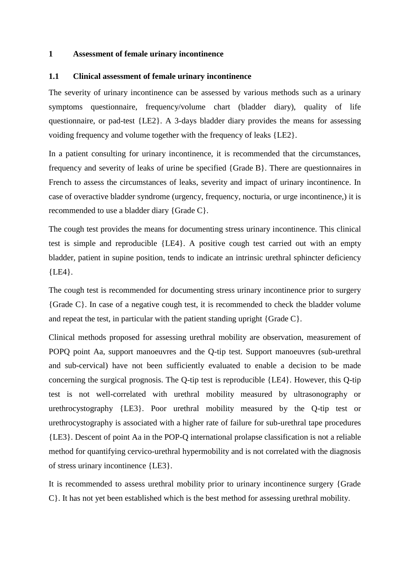### **1 Assessment of female urinary incontinence**

#### **1.1 Clinical assessment of female urinary incontinence**

The severity of urinary incontinence can be assessed by various methods such as a urinary symptoms questionnaire, frequency/volume chart (bladder diary), quality of life questionnaire, or pad-test {LE2}. A 3-days bladder diary provides the means for assessing voiding frequency and volume together with the frequency of leaks {LE2}.

In a patient consulting for urinary incontinence, it is recommended that the circumstances, frequency and severity of leaks of urine be specified {Grade B}. There are questionnaires in French to assess the circumstances of leaks, severity and impact of urinary incontinence. In case of overactive bladder syndrome (urgency, frequency, nocturia, or urge incontinence,) it is recommended to use a bladder diary {Grade C}.

The cough test provides the means for documenting stress urinary incontinence. This clinical test is simple and reproducible {LE4}. A positive cough test carried out with an empty bladder, patient in supine position, tends to indicate an intrinsic urethral sphincter deficiency {LE4}.

The cough test is recommended for documenting stress urinary incontinence prior to surgery {Grade C}. In case of a negative cough test, it is recommended to check the bladder volume and repeat the test, in particular with the patient standing upright {Grade C}.

Clinical methods proposed for assessing urethral mobility are observation, measurement of POPQ point Aa, support manoeuvres and the Q-tip test. Support manoeuvres (sub-urethral and sub-cervical) have not been sufficiently evaluated to enable a decision to be made concerning the surgical prognosis. The Q-tip test is reproducible {LE4}. However, this Q-tip test is not well-correlated with urethral mobility measured by ultrasonography or urethrocystography {LE3}. Poor urethral mobility measured by the Q-tip test or urethrocystography is associated with a higher rate of failure for sub-urethral tape procedures {LE3}. Descent of point Aa in the POP-Q international prolapse classification is not a reliable method for quantifying cervico-urethral hypermobility and is not correlated with the diagnosis of stress urinary incontinence {LE3}.

It is recommended to assess urethral mobility prior to urinary incontinence surgery {Grade C}. It has not yet been established which is the best method for assessing urethral mobility.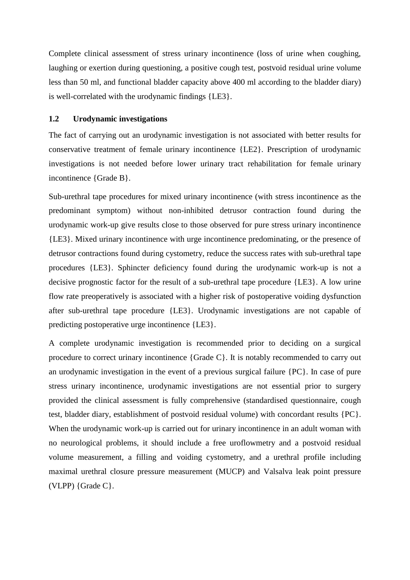Complete clinical assessment of stress urinary incontinence (loss of urine when coughing, laughing or exertion during questioning, a positive cough test, postvoid residual urine volume less than 50 ml, and functional bladder capacity above 400 ml according to the bladder diary) is well-correlated with the urodynamic findings {LE3}.

#### **1.2 Urodynamic investigations**

The fact of carrying out an urodynamic investigation is not associated with better results for conservative treatment of female urinary incontinence {LE2}. Prescription of urodynamic investigations is not needed before lower urinary tract rehabilitation for female urinary incontinence {Grade B}.

Sub-urethral tape procedures for mixed urinary incontinence (with stress incontinence as the predominant symptom) without non-inhibited detrusor contraction found during the urodynamic work-up give results close to those observed for pure stress urinary incontinence {LE3}. Mixed urinary incontinence with urge incontinence predominating, or the presence of detrusor contractions found during cystometry, reduce the success rates with sub-urethral tape procedures {LE3}. Sphincter deficiency found during the urodynamic work-up is not a decisive prognostic factor for the result of a sub-urethral tape procedure {LE3}. A low urine flow rate preoperatively is associated with a higher risk of postoperative voiding dysfunction after sub-urethral tape procedure {LE3}. Urodynamic investigations are not capable of predicting postoperative urge incontinence {LE3}.

A complete urodynamic investigation is recommended prior to deciding on a surgical procedure to correct urinary incontinence {Grade C}. It is notably recommended to carry out an urodynamic investigation in the event of a previous surgical failure {PC}. In case of pure stress urinary incontinence, urodynamic investigations are not essential prior to surgery provided the clinical assessment is fully comprehensive (standardised questionnaire, cough test, bladder diary, establishment of postvoid residual volume) with concordant results {PC}. When the urodynamic work-up is carried out for urinary incontinence in an adult woman with no neurological problems, it should include a free uroflowmetry and a postvoid residual volume measurement, a filling and voiding cystometry, and a urethral profile including maximal urethral closure pressure measurement (MUCP) and Valsalva leak point pressure (VLPP) {Grade C}.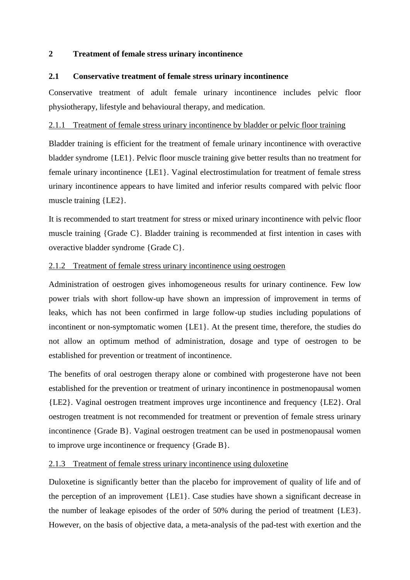## **2 Treatment of female stress urinary incontinence**

## **2.1 Conservative treatment of female stress urinary incontinence**

Conservative treatment of adult female urinary incontinence includes pelvic floor physiotherapy, lifestyle and behavioural therapy, and medication.

## 2.1.1 Treatment of female stress urinary incontinence by bladder or pelvic floor training

Bladder training is efficient for the treatment of female urinary incontinence with overactive bladder syndrome {LE1}. Pelvic floor muscle training give better results than no treatment for female urinary incontinence {LE1}. Vaginal electrostimulation for treatment of female stress urinary incontinence appears to have limited and inferior results compared with pelvic floor muscle training {LE2}.

It is recommended to start treatment for stress or mixed urinary incontinence with pelvic floor muscle training {Grade C}. Bladder training is recommended at first intention in cases with overactive bladder syndrome {Grade C}.

## 2.1.2 Treatment of female stress urinary incontinence using oestrogen

Administration of oestrogen gives inhomogeneous results for urinary continence. Few low power trials with short follow-up have shown an impression of improvement in terms of leaks, which has not been confirmed in large follow-up studies including populations of incontinent or non-symptomatic women {LE1}. At the present time, therefore, the studies do not allow an optimum method of administration, dosage and type of oestrogen to be established for prevention or treatment of incontinence.

The benefits of oral oestrogen therapy alone or combined with progesterone have not been established for the prevention or treatment of urinary incontinence in postmenopausal women {LE2}. Vaginal oestrogen treatment improves urge incontinence and frequency {LE2}. Oral oestrogen treatment is not recommended for treatment or prevention of female stress urinary incontinence {Grade B}. Vaginal oestrogen treatment can be used in postmenopausal women to improve urge incontinence or frequency {Grade B}.

## 2.1.3 Treatment of female stress urinary incontinence using duloxetine

Duloxetine is significantly better than the placebo for improvement of quality of life and of the perception of an improvement {LE1}. Case studies have shown a significant decrease in the number of leakage episodes of the order of 50% during the period of treatment {LE3}. However, on the basis of objective data, a meta-analysis of the pad-test with exertion and the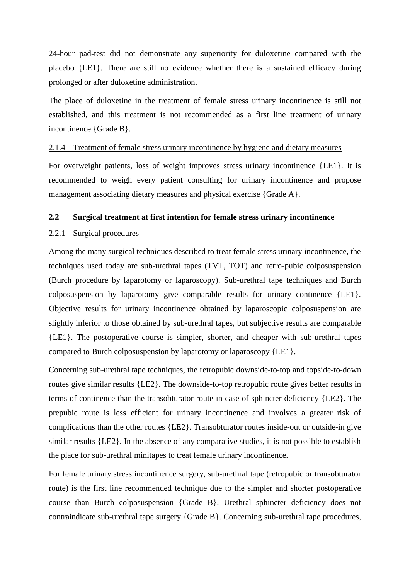24-hour pad-test did not demonstrate any superiority for duloxetine compared with the placebo {LE1}. There are still no evidence whether there is a sustained efficacy during prolonged or after duloxetine administration.

The place of duloxetine in the treatment of female stress urinary incontinence is still not established, and this treatment is not recommended as a first line treatment of urinary incontinence {Grade B}.

### 2.1.4 Treatment of female stress urinary incontinence by hygiene and dietary measures

For overweight patients, loss of weight improves stress urinary incontinence {LE1}. It is recommended to weigh every patient consulting for urinary incontinence and propose management associating dietary measures and physical exercise {Grade A}.

#### **2.2 Surgical treatment at first intention for female stress urinary incontinence**

#### 2.2.1 Surgical procedures

Among the many surgical techniques described to treat female stress urinary incontinence, the techniques used today are sub-urethral tapes (TVT, TOT) and retro-pubic colposuspension (Burch procedure by laparotomy or laparoscopy). Sub-urethral tape techniques and Burch colposuspension by laparotomy give comparable results for urinary continence {LE1}. Objective results for urinary incontinence obtained by laparoscopic colposuspension are slightly inferior to those obtained by sub-urethral tapes, but subjective results are comparable {LE1}. The postoperative course is simpler, shorter, and cheaper with sub-urethral tapes compared to Burch colposuspension by laparotomy or laparoscopy {LE1}.

Concerning sub-urethral tape techniques, the retropubic downside-to-top and topside-to-down routes give similar results {LE2}. The downside-to-top retropubic route gives better results in terms of continence than the transobturator route in case of sphincter deficiency {LE2}. The prepubic route is less efficient for urinary incontinence and involves a greater risk of complications than the other routes {LE2}. Transobturator routes inside-out or outside-in give similar results {LE2}. In the absence of any comparative studies, it is not possible to establish the place for sub-urethral minitapes to treat female urinary incontinence.

For female urinary stress incontinence surgery, sub-urethral tape (retropubic or transobturator route) is the first line recommended technique due to the simpler and shorter postoperative course than Burch colposuspension {Grade B}. Urethral sphincter deficiency does not contraindicate sub-urethral tape surgery {Grade B}. Concerning sub-urethral tape procedures,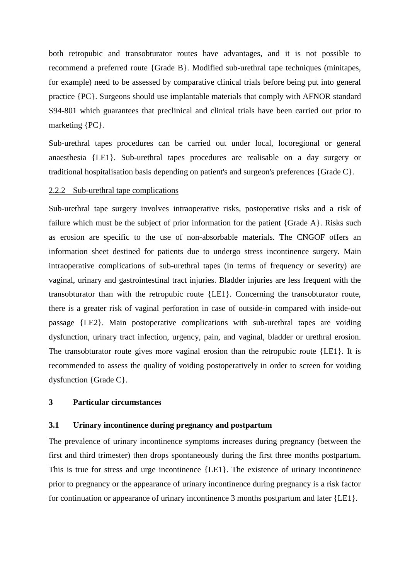both retropubic and transobturator routes have advantages, and it is not possible to recommend a preferred route {Grade B}. Modified sub-urethral tape techniques (minitapes, for example) need to be assessed by comparative clinical trials before being put into general practice {PC}. Surgeons should use implantable materials that comply with AFNOR standard S94-801 which guarantees that preclinical and clinical trials have been carried out prior to marketing {PC}.

Sub-urethral tapes procedures can be carried out under local, locoregional or general anaesthesia {LE1}. Sub-urethral tapes procedures are realisable on a day surgery or traditional hospitalisation basis depending on patient's and surgeon's preferences {Grade C}.

#### 2.2.2 Sub-urethral tape complications

Sub-urethral tape surgery involves intraoperative risks, postoperative risks and a risk of failure which must be the subject of prior information for the patient {Grade A}. Risks such as erosion are specific to the use of non-absorbable materials. The CNGOF offers an information sheet destined for patients due to undergo stress incontinence surgery. Main intraoperative complications of sub-urethral tapes (in terms of frequency or severity) are vaginal, urinary and gastrointestinal tract injuries. Bladder injuries are less frequent with the transobturator than with the retropubic route {LE1}. Concerning the transobturator route, there is a greater risk of vaginal perforation in case of outside-in compared with inside-out passage {LE2}. Main postoperative complications with sub-urethral tapes are voiding dysfunction, urinary tract infection, urgency, pain, and vaginal, bladder or urethral erosion. The transobturator route gives more vaginal erosion than the retropubic route {LE1}. It is recommended to assess the quality of voiding postoperatively in order to screen for voiding dysfunction {Grade C}.

#### **3 Particular circumstances**

#### **3.1 Urinary incontinence during pregnancy and postpartum**

The prevalence of urinary incontinence symptoms increases during pregnancy (between the first and third trimester) then drops spontaneously during the first three months postpartum. This is true for stress and urge incontinence {LE1}. The existence of urinary incontinence prior to pregnancy or the appearance of urinary incontinence during pregnancy is a risk factor for continuation or appearance of urinary incontinence 3 months postpartum and later {LE1}.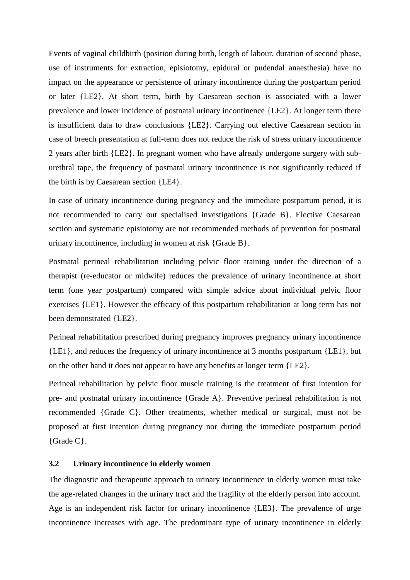Events of vaginal childbirth (position during birth, length of labour, duration of second phase, use of instruments for extraction, episiotomy, epidural or pudendal anaesthesia) have no impact on the appearance or persistence of urinary incontinence during the postpartum period or later {LE2}. At short term, birth by Caesarean section is associated with a lower prevalence and lower incidence of postnatal urinary incontinence {LE2}. At longer term there is insufficient data to draw conclusions {LE2}. Carrying out elective Caesarean section in case of breech presentation at full-term does not reduce the risk of stress urinary incontinence 2 years after birth {LE2}. In pregnant women who have already undergone surgery with suburethral tape, the frequency of postnatal urinary incontinence is not significantly reduced if the birth is by Caesarean section {LE4}.

In case of urinary incontinence during pregnancy and the immediate postpartum period, it is not recommended to carry out specialised investigations {Grade B}. Elective Caesarean section and systematic episiotomy are not recommended methods of prevention for postnatal urinary incontinence, including in women at risk {Grade B}.

Postnatal perineal rehabilitation including pelvic floor training under the direction of a therapist (re-educator or midwife) reduces the prevalence of urinary incontinence at short term (one year postpartum) compared with simple advice about individual pelvic floor exercises {LE1}. However the efficacy of this postpartum rehabilitation at long term has not been demonstrated {LE2}.

Perineal rehabilitation prescribed during pregnancy improves pregnancy urinary incontinence {LE1}, and reduces the frequency of urinary incontinence at 3 months postpartum {LE1}, but on the other hand it does not appear to have any benefits at longer term {LE2}.

Perineal rehabilitation by pelvic floor muscle training is the treatment of first intention for pre- and postnatal urinary incontinence {Grade A}. Preventive perineal rehabilitation is not recommended {Grade C}. Other treatments, whether medical or surgical, must not be proposed at first intention during pregnancy nor during the immediate postpartum period {Grade C}.

## **3.2 Urinary incontinence in elderly women**

The diagnostic and therapeutic approach to urinary incontinence in elderly women must take the age-related changes in the urinary tract and the fragility of the elderly person into account. Age is an independent risk factor for urinary incontinence {LE3}. The prevalence of urge incontinence increases with age. The predominant type of urinary incontinence in elderly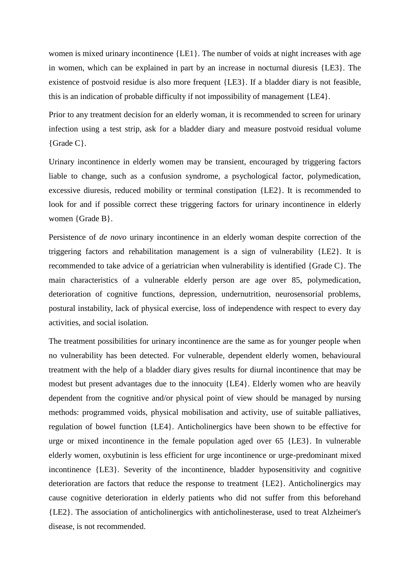women is mixed urinary incontinence {LE1}. The number of voids at night increases with age in women, which can be explained in part by an increase in nocturnal diuresis {LE3}. The existence of postvoid residue is also more frequent {LE3}. If a bladder diary is not feasible, this is an indication of probable difficulty if not impossibility of management {LE4}.

Prior to any treatment decision for an elderly woman, it is recommended to screen for urinary infection using a test strip, ask for a bladder diary and measure postvoid residual volume {Grade C}.

Urinary incontinence in elderly women may be transient, encouraged by triggering factors liable to change, such as a confusion syndrome, a psychological factor, polymedication, excessive diuresis, reduced mobility or terminal constipation {LE2}. It is recommended to look for and if possible correct these triggering factors for urinary incontinence in elderly women {Grade B}.

Persistence of *de novo* urinary incontinence in an elderly woman despite correction of the triggering factors and rehabilitation management is a sign of vulnerability {LE2}. It is recommended to take advice of a geriatrician when vulnerability is identified {Grade C}. The main characteristics of a vulnerable elderly person are age over 85, polymedication, deterioration of cognitive functions, depression, undernutrition, neurosensorial problems, postural instability, lack of physical exercise, loss of independence with respect to every day activities, and social isolation.

The treatment possibilities for urinary incontinence are the same as for younger people when no vulnerability has been detected. For vulnerable, dependent elderly women, behavioural treatment with the help of a bladder diary gives results for diurnal incontinence that may be modest but present advantages due to the innocuity {LE4}. Elderly women who are heavily dependent from the cognitive and/or physical point of view should be managed by nursing methods: programmed voids, physical mobilisation and activity, use of suitable palliatives, regulation of bowel function {LE4}. Anticholinergics have been shown to be effective for urge or mixed incontinence in the female population aged over 65 {LE3}. In vulnerable elderly women, oxybutinin is less efficient for urge incontinence or urge-predominant mixed incontinence {LE3}. Severity of the incontinence, bladder hyposensitivity and cognitive deterioration are factors that reduce the response to treatment {LE2}. Anticholinergics may cause cognitive deterioration in elderly patients who did not suffer from this beforehand {LE2}. The association of anticholinergics with anticholinesterase, used to treat Alzheimer's disease, is not recommended.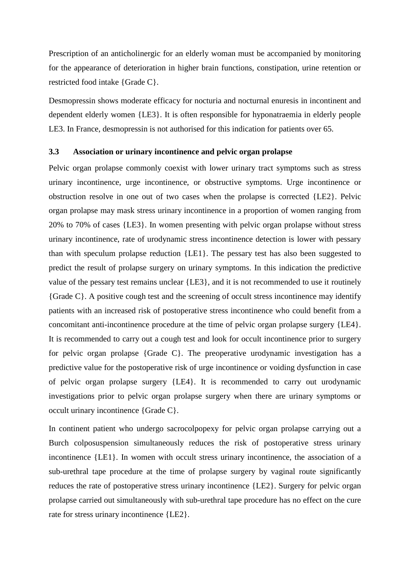Prescription of an anticholinergic for an elderly woman must be accompanied by monitoring for the appearance of deterioration in higher brain functions, constipation, urine retention or restricted food intake {Grade C}.

Desmopressin shows moderate efficacy for nocturia and nocturnal enuresis in incontinent and dependent elderly women {LE3}. It is often responsible for hyponatraemia in elderly people LE3. In France, desmopressin is not authorised for this indication for patients over 65.

#### **3.3 Association or urinary incontinence and pelvic organ prolapse**

Pelvic organ prolapse commonly coexist with lower urinary tract symptoms such as stress urinary incontinence, urge incontinence, or obstructive symptoms. Urge incontinence or obstruction resolve in one out of two cases when the prolapse is corrected {LE2}. Pelvic organ prolapse may mask stress urinary incontinence in a proportion of women ranging from 20% to 70% of cases {LE3}. In women presenting with pelvic organ prolapse without stress urinary incontinence, rate of urodynamic stress incontinence detection is lower with pessary than with speculum prolapse reduction {LE1}. The pessary test has also been suggested to predict the result of prolapse surgery on urinary symptoms. In this indication the predictive value of the pessary test remains unclear {LE3}, and it is not recommended to use it routinely {Grade C}. A positive cough test and the screening of occult stress incontinence may identify patients with an increased risk of postoperative stress incontinence who could benefit from a concomitant anti-incontinence procedure at the time of pelvic organ prolapse surgery {LE4}. It is recommended to carry out a cough test and look for occult incontinence prior to surgery for pelvic organ prolapse {Grade C}. The preoperative urodynamic investigation has a predictive value for the postoperative risk of urge incontinence or voiding dysfunction in case of pelvic organ prolapse surgery {LE4}. It is recommended to carry out urodynamic investigations prior to pelvic organ prolapse surgery when there are urinary symptoms or occult urinary incontinence {Grade C}.

In continent patient who undergo sacrocolpopexy for pelvic organ prolapse carrying out a Burch colposuspension simultaneously reduces the risk of postoperative stress urinary incontinence {LE1}. In women with occult stress urinary incontinence, the association of a sub-urethral tape procedure at the time of prolapse surgery by vaginal route significantly reduces the rate of postoperative stress urinary incontinence {LE2}. Surgery for pelvic organ prolapse carried out simultaneously with sub-urethral tape procedure has no effect on the cure rate for stress urinary incontinence {LE2}.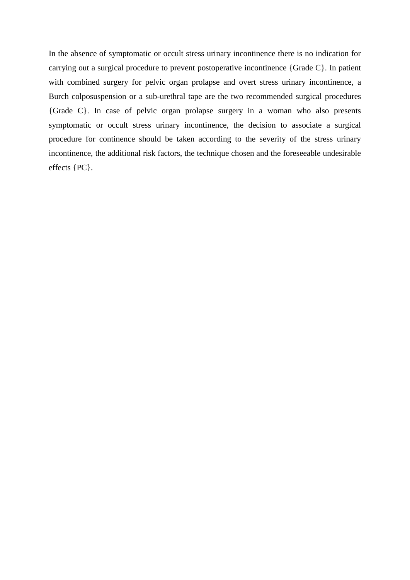In the absence of symptomatic or occult stress urinary incontinence there is no indication for carrying out a surgical procedure to prevent postoperative incontinence {Grade C}. In patient with combined surgery for pelvic organ prolapse and overt stress urinary incontinence, a Burch colposuspension or a sub-urethral tape are the two recommended surgical procedures {Grade C}. In case of pelvic organ prolapse surgery in a woman who also presents symptomatic or occult stress urinary incontinence, the decision to associate a surgical procedure for continence should be taken according to the severity of the stress urinary incontinence, the additional risk factors, the technique chosen and the foreseeable undesirable effects {PC}.